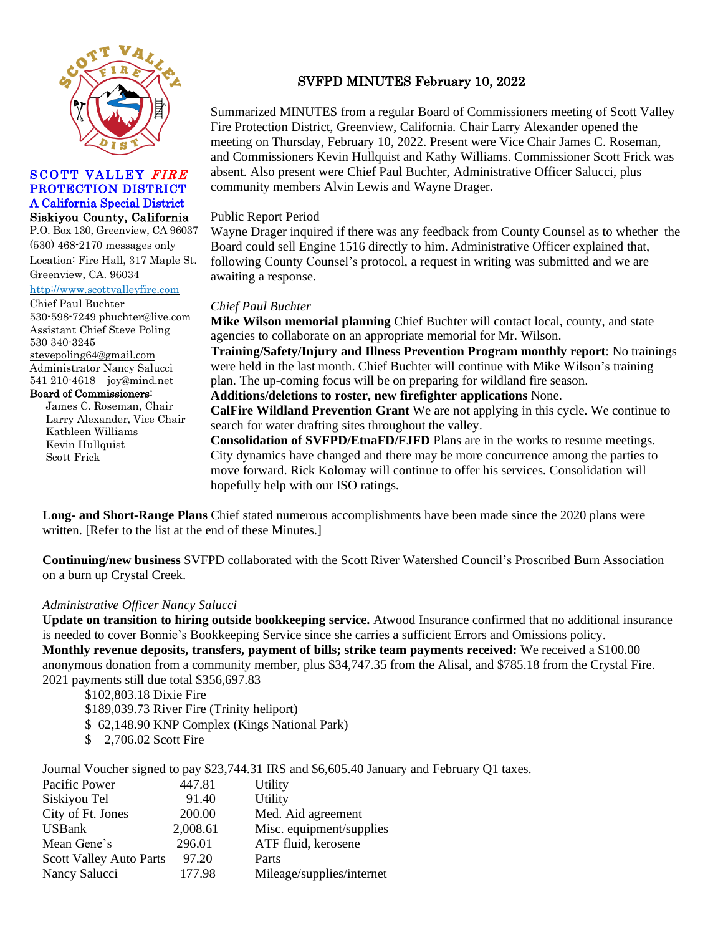

### SCOTT VALLEY FIRE PROTECTION DISTRICT A California Special District Siskiyou County, California

P.O. Box 130, Greenview, CA 96037 (530) 468-2170 messages only Location: Fire Hall, 317 Maple St. Greenview, CA. 96034

#### [http://www.scottvalleyfire.com](http://www.scottvalleyfire.com/)

Chief Paul Buchter 530-598-7249 [pbuchter@live.com](mailto:pbuchter@live.com)  Assistant Chief Steve Poling 530 340-3245 [stevepoling64@gmail.com](mailto:stevepoling64@gmail.com) Administrator Nancy Salucci 541 210-4618 [joy@mind.net](mailto:joy@mind.net) Board of Commissioners:

> James C. Roseman, Chair Larry Alexander, Vice Chair Kathleen Williams Kevin Hullquist Scott Frick

## SVFPD MINUTES February 10, 2022

Summarized MINUTES from a regular Board of Commissioners meeting of Scott Valley Fire Protection District, Greenview, California. Chair Larry Alexander opened the meeting on Thursday, February 10, 2022. Present were Vice Chair James C. Roseman, and Commissioners Kevin Hullquist and Kathy Williams. Commissioner Scott Frick was absent. Also present were Chief Paul Buchter, Administrative Officer Salucci, plus community members Alvin Lewis and Wayne Drager.

### Public Report Period

Wayne Drager inquired if there was any feedback from County Counsel as to whether the Board could sell Engine 1516 directly to him. Administrative Officer explained that, following County Counsel's protocol, a request in writing was submitted and we are awaiting a response.

### *Chief Paul Buchter*

**Mike Wilson memorial planning** Chief Buchter will contact local, county, and state agencies to collaborate on an appropriate memorial for Mr. Wilson. **Training/Safety/Injury and Illness Prevention Program monthly report**: No trainings were held in the last month. Chief Buchter will continue with Mike Wilson's training

plan. The up-coming focus will be on preparing for wildland fire season.

**Additions/deletions to roster, new firefighter applications** None.

**CalFire Wildland Prevention Grant** We are not applying in this cycle. We continue to search for water drafting sites throughout the valley.

**Consolidation of SVFPD/EtnaFD/FJFD** Plans are in the works to resume meetings. City dynamics have changed and there may be more concurrence among the parties to move forward. Rick Kolomay will continue to offer his services. Consolidation will hopefully help with our ISO ratings.

**Long- and Short-Range Plans** Chief stated numerous accomplishments have been made since the 2020 plans were written. [Refer to the list at the end of these Minutes.]

**Continuing/new business** SVFPD collaborated with the Scott River Watershed Council's Proscribed Burn Association on a burn up Crystal Creek.

### *Administrative Officer Nancy Salucci*

**Update on transition to hiring outside bookkeeping service.** Atwood Insurance confirmed that no additional insurance is needed to cover Bonnie's Bookkeeping Service since she carries a sufficient Errors and Omissions policy. **Monthly revenue deposits, transfers, payment of bills; strike team payments received:** We received a \$100.00 anonymous donation from a community member, plus \$34,747.35 from the Alisal, and \$785.18 from the Crystal Fire. 2021 payments still due total \$356,697.83

\$102,803.18 Dixie Fire

\$189,039.73 River Fire (Trinity heliport)

- \$ 62,148.90 KNP Complex (Kings National Park)
- \$ 2,706.02 Scott Fire

Journal Voucher signed to pay \$23,744.31 IRS and \$6,605.40 January and February Q1 taxes.

| Pacific Power                  | 447.81   | Utility                   |
|--------------------------------|----------|---------------------------|
| Siskiyou Tel                   | 91.40    | Utility                   |
| City of Ft. Jones              | 200.00   | Med. Aid agreement        |
| <b>USBank</b>                  | 2,008.61 | Misc. equipment/supplies  |
| Mean Gene's                    | 296.01   | ATF fluid, kerosene       |
| <b>Scott Valley Auto Parts</b> | 97.20    | Parts                     |
| Nancy Salucci                  | 177.98   | Mileage/supplies/internet |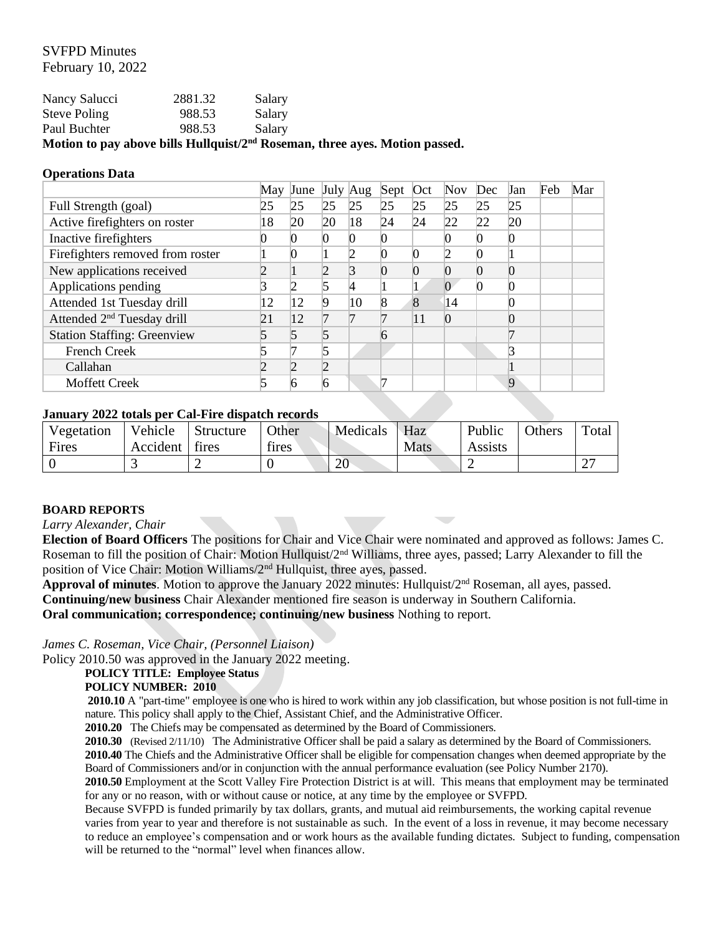### SVFPD Minutes February 10, 2022

|               |         | Motion to pay above bills Hullquist/2 <sup>nd</sup> Roseman, three ayes. Motion passed. |
|---------------|---------|-----------------------------------------------------------------------------------------|
| Paul Buchter  | 988.53  | Salary                                                                                  |
| Steve Poling  | 988.53  | Salary                                                                                  |
| Nancy Salucci | 2881.32 | Salary                                                                                  |

#### **Operations Data**

|                                        | May | June |    | July Aug | Sept | Oct | <b>Nov</b> | Dec | Jan | Feb | Mar |
|----------------------------------------|-----|------|----|----------|------|-----|------------|-----|-----|-----|-----|
| Full Strength (goal)                   | 25  | 25   | 25 | 25       | 25   | 25  | 25         | 25  | 25  |     |     |
| Active firefighters on roster          | 18  | 20   | 20 | 18       | 24   | 24  | 22         | 22  | 20  |     |     |
| Inactive firefighters                  |     |      |    |          |      |     |            |     |     |     |     |
| Firefighters removed from roster       |     |      |    |          |      |     |            |     |     |     |     |
| New applications received              |     |      |    |          |      |     |            |     |     |     |     |
| Applications pending                   |     |      |    |          |      |     |            |     |     |     |     |
| Attended 1st Tuesday drill             | 12  | 12   | O  | 10       |      |     | 14         |     |     |     |     |
| Attended 2 <sup>nd</sup> Tuesday drill | 21  | 12   |    |          |      | 11  |            |     |     |     |     |
| <b>Station Staffing: Greenview</b>     |     |      |    |          |      |     |            |     |     |     |     |
| <b>French Creek</b>                    |     |      |    |          |      |     |            |     |     |     |     |
| Callahan                               |     |      |    |          |      |     |            |     |     |     |     |
| <b>Moffett Creek</b>                   |     |      |    |          |      |     |            |     | 9   |     |     |

### **January 2022 totals per Cal-Fire dispatch records**

| Vegetation | Vehicle  | Structure | Other | Medicals | Haz  | Public  | Others | $\tau_{\text{otai}}$ |
|------------|----------|-----------|-------|----------|------|---------|--------|----------------------|
| Fires      | Accident | tires     | tires |          | Mats | Assists |        |                      |
|            |          |           |       | oc<br>ZU |      |         |        |                      |

### **BOARD REPORTS**

#### *Larry Alexander, Chair*

**Election of Board Officers** The positions for Chair and Vice Chair were nominated and approved as follows: James C. Roseman to fill the position of Chair: Motion Hullquist/2<sup>nd</sup> Williams, three ayes, passed; Larry Alexander to fill the position of Vice Chair: Motion Williams/2nd Hullquist, three ayes, passed.

**Approval of minutes**. Motion to approve the January 2022 minutes: Hullquist/2nd Roseman, all ayes, passed. **Continuing/new business** Chair Alexander mentioned fire season is underway in Southern California.

**Oral communication; correspondence; continuing/new business** Nothing to report.

*James C. Roseman, Vice Chair, (Personnel Liaison)*

Policy 2010.50 was approved in the January 2022 meeting.

## **POLICY TITLE: Employee Status**

#### **POLICY NUMBER: 2010**

**2010.10** A "part-time" employee is one who is hired to work within any job classification, but whose position is not full-time in nature. This policy shall apply to the Chief, Assistant Chief, and the Administrative Officer.

**2010.20** The Chiefs may be compensated as determined by the Board of Commissioners.

**2010.30** (Revised 2/11/10)The Administrative Officer shall be paid a salary as determined by the Board of Commissioners. **2010.40** The Chiefs and the Administrative Officer shall be eligible for compensation changes when deemed appropriate by the Board of Commissioners and/or in conjunction with the annual performance evaluation (see Policy Number 2170).

**2010.50** Employment at the Scott Valley Fire Protection District is at will. This means that employment may be terminated for any or no reason, with or without cause or notice, at any time by the employee or SVFPD.

Because SVFPD is funded primarily by tax dollars, grants, and mutual aid reimbursements, the working capital revenue varies from year to year and therefore is not sustainable as such. In the event of a loss in revenue, it may become necessary to reduce an employee's compensation and or work hours as the available funding dictates. Subject to funding, compensation will be returned to the "normal" level when finances allow.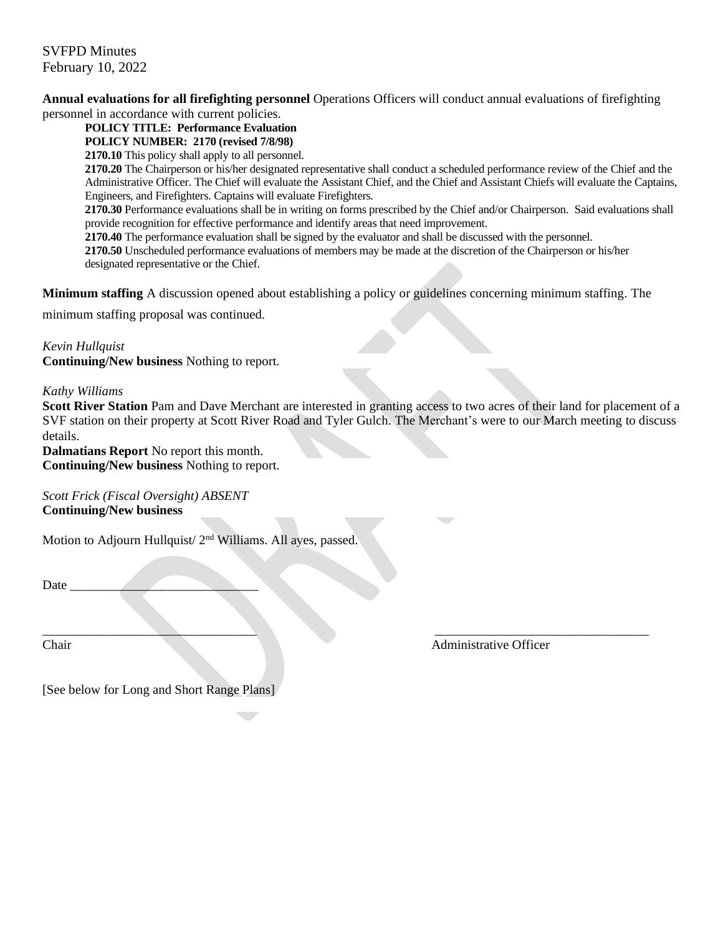### SVFPD Minutes February 10, 2022

**Annual evaluations for all firefighting personnel** Operations Officers will conduct annual evaluations of firefighting personnel in accordance with current policies.

**POLICY TITLE: Performance Evaluation**

### **POLICY NUMBER: 2170 (revised 7/8/98)**

**2170.10** This policy shall apply to all personnel.

**2170.20** The Chairperson or his/her designated representative shall conduct a scheduled performance review of the Chief and the Administrative Officer. The Chief will evaluate the Assistant Chief, and the Chief and Assistant Chiefs will evaluate the Captains, Engineers, and Firefighters. Captains will evaluate Firefighters.

**2170.30** Performance evaluations shall be in writing on forms prescribed by the Chief and/or Chairperson. Said evaluations shall provide recognition for effective performance and identify areas that need improvement.

**2170.40** The performance evaluation shall be signed by the evaluator and shall be discussed with the personnel.

**2170.50** Unscheduled performance evaluations of members may be made at the discretion of the Chairperson or his/her designated representative or the Chief.

**Minimum staffing** A discussion opened about establishing a policy or guidelines concerning minimum staffing. The

minimum staffing proposal was continued.

### *Kevin Hullquist*

**Continuing/New business** Nothing to report.

### *Kathy Williams*

**Scott River Station** Pam and Dave Merchant are interested in granting access to two acres of their land for placement of a SVF station on their property at Scott River Road and Tyler Gulch. The Merchant's were to our March meeting to discuss details.

**Dalmatians Report** No report this month. **Continuing/New business** Nothing to report.

*Scott Frick (Fiscal Oversight) ABSENT* **Continuing/New business** 

Motion to Adjourn Hullquist/ 2<sup>nd</sup> Williams. All ayes, passed.

Date \_\_\_\_\_\_\_\_\_\_\_\_\_\_\_\_\_\_\_\_\_\_\_\_\_\_\_\_\_

\_\_\_\_\_\_\_\_\_\_\_\_\_\_\_\_\_\_\_\_\_\_\_\_\_\_\_\_\_\_\_\_\_ \_\_\_\_\_\_\_\_\_\_\_\_\_\_\_\_\_\_\_\_\_\_\_\_\_\_\_\_\_\_\_\_\_ Chair Administrative Officer

[See below for Long and Short Range Plans]